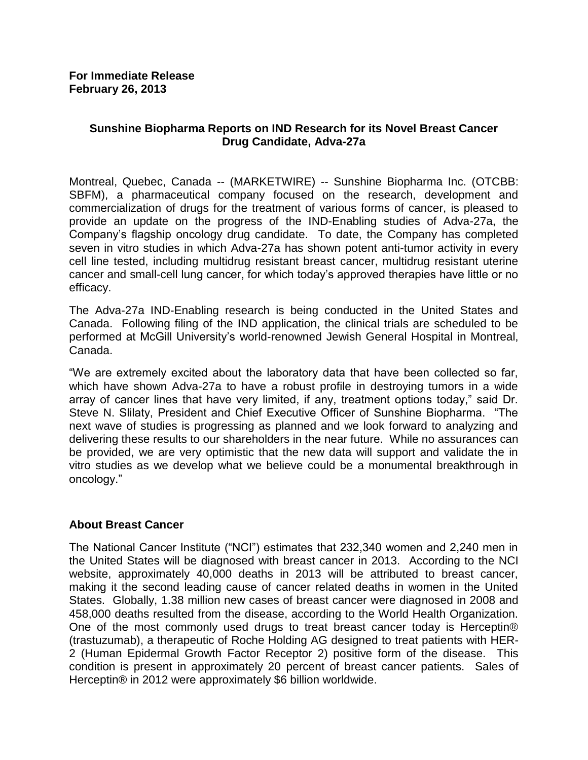# **Sunshine Biopharma Reports on IND Research for its Novel Breast Cancer Drug Candidate, Adva-27a**

Montreal, Quebec, Canada -- (MARKETWIRE) -- Sunshine Biopharma Inc. (OTCBB: SBFM), a pharmaceutical company focused on the research, development and commercialization of drugs for the treatment of various forms of cancer, is pleased to provide an update on the progress of the IND-Enabling studies of Adva-27a, the Company's flagship oncology drug candidate. To date, the Company has completed seven in vitro studies in which Adva-27a has shown potent anti-tumor activity in every cell line tested, including multidrug resistant breast cancer, multidrug resistant uterine cancer and small-cell lung cancer, for which today's approved therapies have little or no efficacy.

The Adva-27a IND-Enabling research is being conducted in the United States and Canada. Following filing of the IND application, the clinical trials are scheduled to be performed at McGill University's world-renowned Jewish General Hospital in Montreal, Canada.

"We are extremely excited about the laboratory data that have been collected so far, which have shown Adva-27a to have a robust profile in destroying tumors in a wide array of cancer lines that have very limited, if any, treatment options today," said Dr. Steve N. Slilaty, President and Chief Executive Officer of Sunshine Biopharma. "The next wave of studies is progressing as planned and we look forward to analyzing and delivering these results to our shareholders in the near future. While no assurances can be provided, we are very optimistic that the new data will support and validate the in vitro studies as we develop what we believe could be a monumental breakthrough in oncology."

## **About Breast Cancer**

The National Cancer Institute ("NCI") estimates that 232,340 women and 2,240 men in the United States will be diagnosed with breast cancer in 2013. According to the NCI website, approximately 40,000 deaths in 2013 will be attributed to breast cancer, making it the second leading cause of cancer related deaths in women in the United States. Globally, 1.38 million new cases of breast cancer were diagnosed in 2008 and 458,000 deaths resulted from the disease, according to the World Health Organization. One of the most commonly used drugs to treat breast cancer today is Herceptin® (trastuzumab), a therapeutic of Roche Holding AG designed to treat patients with HER-2 (Human Epidermal Growth Factor Receptor 2) positive form of the disease. This condition is present in approximately 20 percent of breast cancer patients. Sales of Herceptin® in 2012 were approximately \$6 billion worldwide.